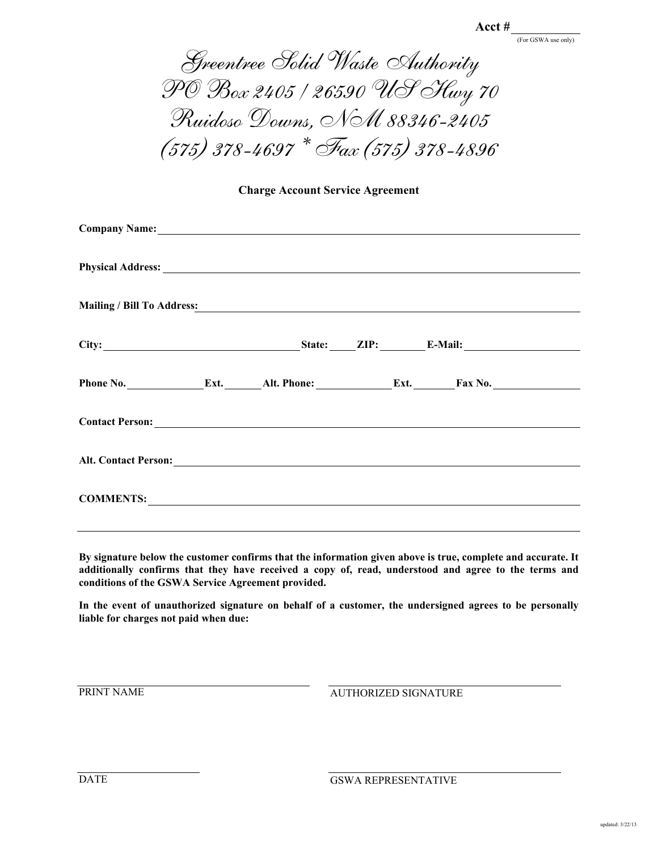(For GSWA use only)

Greentree Solid Waste Authority PO Box 2405 / 26590 US Hwy 70 Ruidoso Downs, NM 88346-2405 (575) 378-4697 \* Fax (575) 378-4896

**Charge Account Service Agreement**

| Physical Address: No. 2016. The Committee of the Committee of the Committee of the Committee of the Committee of the Committee of the Committee of the Committee of the Committee of the Committee of the Committee of the Com |  |  |  |  |  |
|--------------------------------------------------------------------------------------------------------------------------------------------------------------------------------------------------------------------------------|--|--|--|--|--|
| Mailing / Bill To Address: Mailing / Bill To Address:                                                                                                                                                                          |  |  |  |  |  |
|                                                                                                                                                                                                                                |  |  |  |  |  |
| Phone No. ________________Ext. ________Alt. Phone: __________________Ext. ________Fax No. ____________________                                                                                                                 |  |  |  |  |  |
|                                                                                                                                                                                                                                |  |  |  |  |  |
|                                                                                                                                                                                                                                |  |  |  |  |  |
| COMMENTS: COMMENTS:                                                                                                                                                                                                            |  |  |  |  |  |

**By signature below the customer confirms that the information given above is true, complete and accurate. It additionally confirms that they have received a copy of, read, understood and agree to the terms and conditions of the GSWA Service Agreement provided.**

**In the event of unauthorized signature on behalf of a customer, the undersigned agrees to be personally liable for charges not paid when due:**

PRINT NAME

AUTHORIZED SIGNATURE